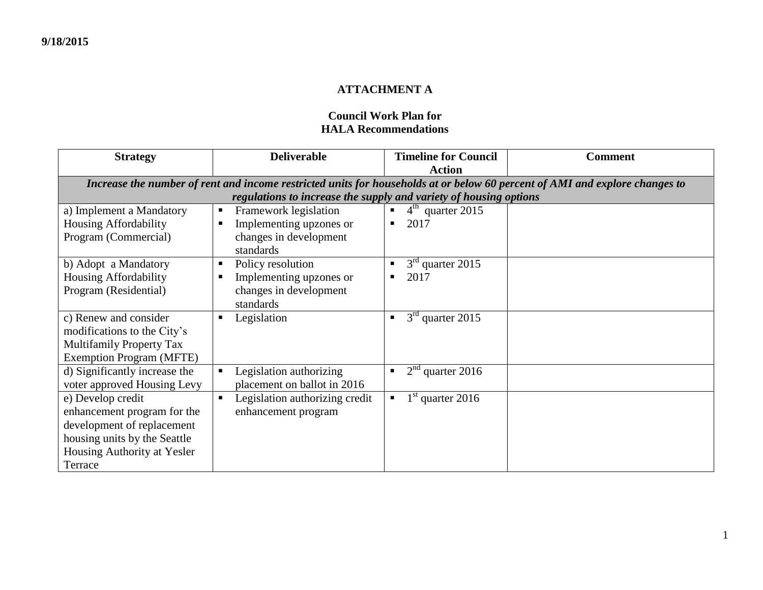## **ATTACHMENT A**

## **Council Work Plan for HALA Recommendations**

| <b>Strategy</b>                                                                                                             | <b>Deliverable</b>                                                | <b>Timeline for Council</b>          | <b>Comment</b> |  |  |  |
|-----------------------------------------------------------------------------------------------------------------------------|-------------------------------------------------------------------|--------------------------------------|----------------|--|--|--|
|                                                                                                                             |                                                                   | <b>Action</b>                        |                |  |  |  |
| Increase the number of rent and income restricted units for households at or below 60 percent of AMI and explore changes to |                                                                   |                                      |                |  |  |  |
|                                                                                                                             | regulations to increase the supply and variety of housing options |                                      |                |  |  |  |
| a) Implement a Mandatory                                                                                                    | Framework legislation<br>$\blacksquare$                           | $4th$ quarter 2015<br>$\blacksquare$ |                |  |  |  |
| Housing Affordability                                                                                                       | Implementing upzones or<br>п                                      | 2017<br>٠                            |                |  |  |  |
| Program (Commercial)                                                                                                        | changes in development                                            |                                      |                |  |  |  |
|                                                                                                                             | standards                                                         |                                      |                |  |  |  |
| b) Adopt a Mandatory                                                                                                        | Policy resolution<br>п                                            | $3rd$ quarter 2015<br>п.             |                |  |  |  |
| Housing Affordability                                                                                                       | Implementing upzones or                                           | 2017<br>п                            |                |  |  |  |
| Program (Residential)                                                                                                       | changes in development                                            |                                      |                |  |  |  |
|                                                                                                                             | standards                                                         |                                      |                |  |  |  |
| c) Renew and consider                                                                                                       | Legislation<br>п                                                  | $3rd$ quarter 2015<br>$\blacksquare$ |                |  |  |  |
| modifications to the City's                                                                                                 |                                                                   |                                      |                |  |  |  |
| <b>Multifamily Property Tax</b>                                                                                             |                                                                   |                                      |                |  |  |  |
| <b>Exemption Program (MFTE)</b>                                                                                             |                                                                   |                                      |                |  |  |  |
| d) Significantly increase the                                                                                               | Legislation authorizing                                           | $2nd$ quarter 2016<br>٠              |                |  |  |  |
| voter approved Housing Levy                                                                                                 | placement on ballot in 2016                                       |                                      |                |  |  |  |
| e) Develop credit                                                                                                           | Legislation authorizing credit<br>$\blacksquare$                  | $1st$ quarter 2016<br>п              |                |  |  |  |
| enhancement program for the                                                                                                 | enhancement program                                               |                                      |                |  |  |  |
| development of replacement                                                                                                  |                                                                   |                                      |                |  |  |  |
| housing units by the Seattle                                                                                                |                                                                   |                                      |                |  |  |  |
| Housing Authority at Yesler                                                                                                 |                                                                   |                                      |                |  |  |  |
| Terrace                                                                                                                     |                                                                   |                                      |                |  |  |  |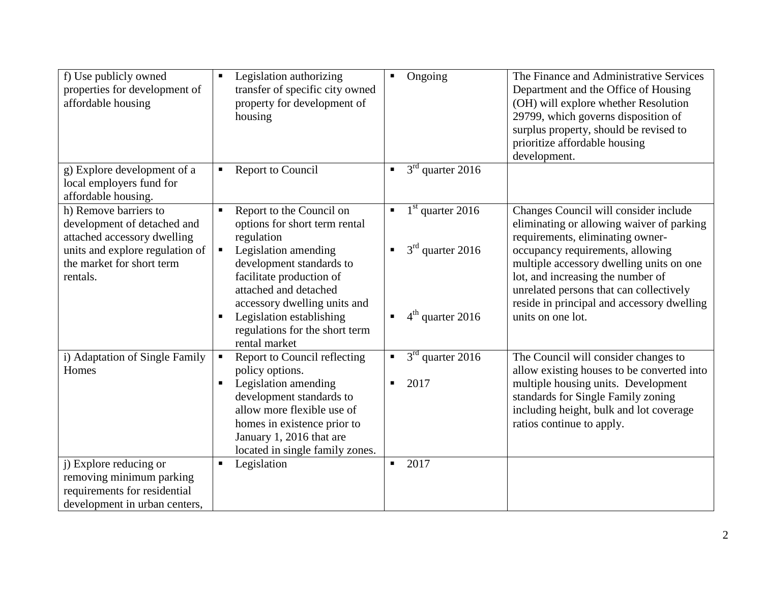| f) Use publicly owned<br>properties for development of<br>affordable housing                                                                                    | Legislation authorizing<br>$\blacksquare$<br>transfer of specific city owned<br>property for development of<br>housing                                                                                                                            | Ongoing<br>$\blacksquare$                                                    | The Finance and Administrative Services<br>Department and the Office of Housing<br>(OH) will explore whether Resolution<br>29799, which governs disposition of<br>surplus property, should be revised to<br>prioritize affordable housing<br>development. |
|-----------------------------------------------------------------------------------------------------------------------------------------------------------------|---------------------------------------------------------------------------------------------------------------------------------------------------------------------------------------------------------------------------------------------------|------------------------------------------------------------------------------|-----------------------------------------------------------------------------------------------------------------------------------------------------------------------------------------------------------------------------------------------------------|
| g) Explore development of a<br>local employers fund for<br>affordable housing.                                                                                  | Report to Council<br>$\blacksquare$                                                                                                                                                                                                               | $3rd$ quarter 2016<br>$\blacksquare$                                         |                                                                                                                                                                                                                                                           |
| h) Remove barriers to<br>development of detached and<br>attached accessory dwelling<br>units and explore regulation of<br>the market for short term<br>rentals. | Report to the Council on<br>options for short term rental<br>regulation<br>Legislation amending<br>П<br>development standards to<br>facilitate production of                                                                                      | $1st$ quarter 2016<br>$\blacksquare$<br>$3rd$ quarter 2016<br>$\blacksquare$ | Changes Council will consider include<br>eliminating or allowing waiver of parking<br>requirements, eliminating owner-<br>occupancy requirements, allowing<br>multiple accessory dwelling units on one<br>lot, and increasing the number of               |
|                                                                                                                                                                 | attached and detached<br>accessory dwelling units and<br>Legislation establishing<br>Е<br>regulations for the short term<br>rental market                                                                                                         | $4th$ quarter 2016<br>п                                                      | unrelated persons that can collectively<br>reside in principal and accessory dwelling<br>units on one lot.                                                                                                                                                |
| i) Adaptation of Single Family<br>Homes                                                                                                                         | Report to Council reflecting<br>policy options.<br>Legislation amending<br>$\blacksquare$<br>development standards to<br>allow more flexible use of<br>homes in existence prior to<br>January 1, 2016 that are<br>located in single family zones. | $3rd$ quarter 2016<br>$\blacksquare$<br>2017<br>$\blacksquare$               | The Council will consider changes to<br>allow existing houses to be converted into<br>multiple housing units. Development<br>standards for Single Family zoning<br>including height, bulk and lot coverage<br>ratios continue to apply.                   |
| j) Explore reducing or<br>removing minimum parking<br>requirements for residential<br>development in urban centers,                                             | Legislation<br>п                                                                                                                                                                                                                                  | 2017<br>$\blacksquare$                                                       |                                                                                                                                                                                                                                                           |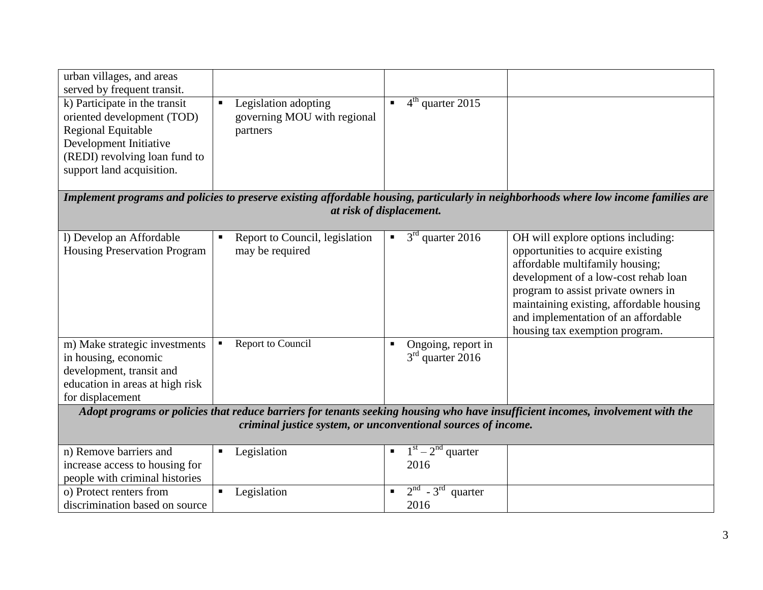| urban villages, and areas                                                                                                       |                                                  |                                      |                                                                                                                                      |  |  |
|---------------------------------------------------------------------------------------------------------------------------------|--------------------------------------------------|--------------------------------------|--------------------------------------------------------------------------------------------------------------------------------------|--|--|
| served by frequent transit.                                                                                                     |                                                  |                                      |                                                                                                                                      |  |  |
| k) Participate in the transit                                                                                                   | Legislation adopting<br>П                        | $4th$ quarter 2015                   |                                                                                                                                      |  |  |
| oriented development (TOD)                                                                                                      | governing MOU with regional                      |                                      |                                                                                                                                      |  |  |
| <b>Regional Equitable</b>                                                                                                       | partners                                         |                                      |                                                                                                                                      |  |  |
| Development Initiative                                                                                                          |                                                  |                                      |                                                                                                                                      |  |  |
| (REDI) revolving loan fund to                                                                                                   |                                                  |                                      |                                                                                                                                      |  |  |
| support land acquisition.                                                                                                       |                                                  |                                      |                                                                                                                                      |  |  |
|                                                                                                                                 |                                                  |                                      |                                                                                                                                      |  |  |
|                                                                                                                                 |                                                  |                                      | Implement programs and policies to preserve existing affordable housing, particularly in neighborhoods where low income families are |  |  |
|                                                                                                                                 |                                                  | at risk of displacement.             |                                                                                                                                      |  |  |
|                                                                                                                                 |                                                  |                                      |                                                                                                                                      |  |  |
| l) Develop an Affordable                                                                                                        | Report to Council, legislation<br>$\blacksquare$ | $3rd$ quarter 2016<br>$\blacksquare$ | OH will explore options including:                                                                                                   |  |  |
| <b>Housing Preservation Program</b>                                                                                             | may be required                                  |                                      | opportunities to acquire existing                                                                                                    |  |  |
|                                                                                                                                 |                                                  |                                      | affordable multifamily housing;                                                                                                      |  |  |
|                                                                                                                                 |                                                  |                                      | development of a low-cost rehab loan                                                                                                 |  |  |
|                                                                                                                                 |                                                  |                                      | program to assist private owners in                                                                                                  |  |  |
|                                                                                                                                 |                                                  |                                      | maintaining existing, affordable housing                                                                                             |  |  |
|                                                                                                                                 |                                                  |                                      | and implementation of an affordable                                                                                                  |  |  |
|                                                                                                                                 |                                                  |                                      | housing tax exemption program.                                                                                                       |  |  |
| m) Make strategic investments                                                                                                   | Report to Council<br>٠                           | Ongoing, report in                   |                                                                                                                                      |  |  |
| in housing, economic                                                                                                            |                                                  | $3rd$ quarter 2016                   |                                                                                                                                      |  |  |
| development, transit and                                                                                                        |                                                  |                                      |                                                                                                                                      |  |  |
| education in areas at high risk                                                                                                 |                                                  |                                      |                                                                                                                                      |  |  |
| for displacement                                                                                                                |                                                  |                                      |                                                                                                                                      |  |  |
| Adopt programs or policies that reduce barriers for tenants seeking housing who have insufficient incomes, involvement with the |                                                  |                                      |                                                                                                                                      |  |  |
| criminal justice system, or unconventional sources of income.                                                                   |                                                  |                                      |                                                                                                                                      |  |  |
|                                                                                                                                 |                                                  |                                      |                                                                                                                                      |  |  |
| n) Remove barriers and                                                                                                          | Legislation<br>Ξ                                 | $1st - 2nd quarter$                  |                                                                                                                                      |  |  |
| increase access to housing for                                                                                                  |                                                  | 2016                                 |                                                                                                                                      |  |  |
| people with criminal histories                                                                                                  |                                                  |                                      |                                                                                                                                      |  |  |
| o) Protect renters from                                                                                                         | Legislation<br>$\blacksquare$                    | $2nd - 3rd$ quarter                  |                                                                                                                                      |  |  |
| discrimination based on source                                                                                                  |                                                  | 2016                                 |                                                                                                                                      |  |  |
|                                                                                                                                 |                                                  |                                      |                                                                                                                                      |  |  |